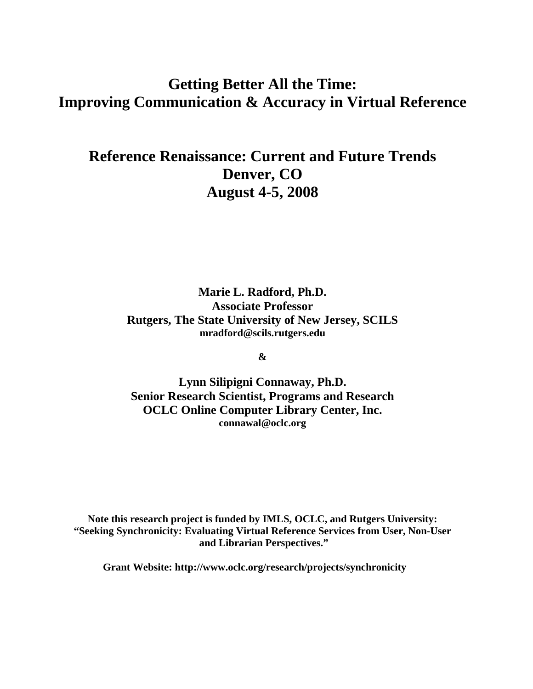# **Getting Better All the Time: Improving Communication & Accuracy in Virtual Reference**

# **Reference Renaissance: Current and Future Trends Denver, CO August 4-5, 2008**

**Marie L. Radford, Ph.D. Associate Professor Rutgers, The State University of New Jersey, SCILS [mradford@scils.rutgers.edu](mailto:mradford@scils.rutgers.edu)**

**&** 

**Lynn Silipigni Connaway, Ph.D. Senior Research Scientist, Programs and Research OCLC Online Computer Library Center, Inc. connawal@oclc.org** 

**Note this research project is funded by IMLS, OCLC, and Rutgers University: "Seeking Synchronicity: Evaluating Virtual Reference Services from User, Non-User and Librarian Perspectives."** 

**Grant Website: http://www.oclc.org/research/projects/synchronicity**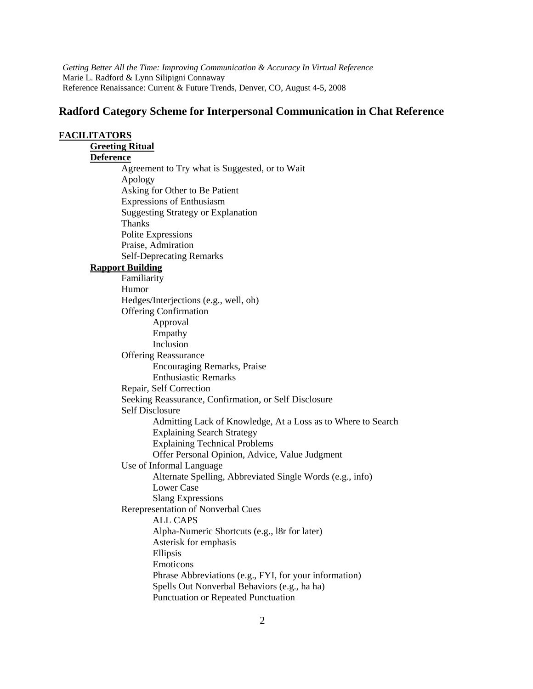# **Radford Category Scheme for Interpersonal Communication in Chat Reference**

| <b>FACILITATORS</b>                                          |  |  |  |  |
|--------------------------------------------------------------|--|--|--|--|
| <b>Greeting Ritual</b>                                       |  |  |  |  |
| <b>Deference</b>                                             |  |  |  |  |
| Agreement to Try what is Suggested, or to Wait               |  |  |  |  |
| Apology                                                      |  |  |  |  |
| Asking for Other to Be Patient                               |  |  |  |  |
| <b>Expressions of Enthusiasm</b>                             |  |  |  |  |
| <b>Suggesting Strategy or Explanation</b>                    |  |  |  |  |
| Thanks                                                       |  |  |  |  |
| Polite Expressions                                           |  |  |  |  |
| Praise, Admiration                                           |  |  |  |  |
| <b>Self-Deprecating Remarks</b>                              |  |  |  |  |
| <b>Rapport Building</b>                                      |  |  |  |  |
| Familiarity                                                  |  |  |  |  |
| Humor                                                        |  |  |  |  |
| Hedges/Interjections (e.g., well, oh)                        |  |  |  |  |
| <b>Offering Confirmation</b>                                 |  |  |  |  |
| Approval                                                     |  |  |  |  |
| Empathy                                                      |  |  |  |  |
| Inclusion                                                    |  |  |  |  |
| <b>Offering Reassurance</b>                                  |  |  |  |  |
| <b>Encouraging Remarks, Praise</b>                           |  |  |  |  |
| <b>Enthusiastic Remarks</b>                                  |  |  |  |  |
| Repair, Self Correction                                      |  |  |  |  |
| Seeking Reassurance, Confirmation, or Self Disclosure        |  |  |  |  |
| <b>Self Disclosure</b>                                       |  |  |  |  |
| Admitting Lack of Knowledge, At a Loss as to Where to Search |  |  |  |  |
| <b>Explaining Search Strategy</b>                            |  |  |  |  |
| <b>Explaining Technical Problems</b>                         |  |  |  |  |
| Offer Personal Opinion, Advice, Value Judgment               |  |  |  |  |
| Use of Informal Language                                     |  |  |  |  |
| Alternate Spelling, Abbreviated Single Words (e.g., info)    |  |  |  |  |
| <b>Lower Case</b>                                            |  |  |  |  |
| <b>Slang Expressions</b>                                     |  |  |  |  |
| Rerepresentation of Nonverbal Cues                           |  |  |  |  |
| <b>ALL CAPS</b>                                              |  |  |  |  |
| Alpha-Numeric Shortcuts (e.g., 18r for later)                |  |  |  |  |
| Asterisk for emphasis                                        |  |  |  |  |
| Ellipsis                                                     |  |  |  |  |
| Emoticons                                                    |  |  |  |  |
| Phrase Abbreviations (e.g., FYI, for your information)       |  |  |  |  |
| Spells Out Nonverbal Behaviors (e.g., ha ha)                 |  |  |  |  |
| Punctuation or Repeated Punctuation                          |  |  |  |  |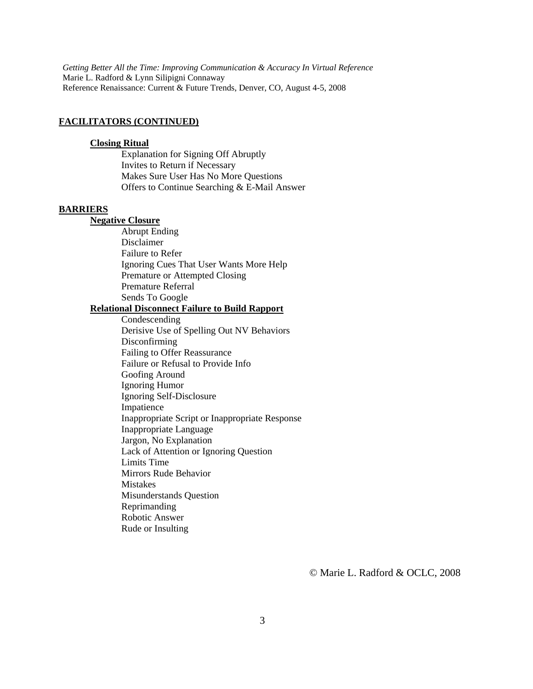#### **FACILITATORS (CONTINUED)**

#### **Closing Ritual**

 Explanation for Signing Off Abruptly Invites to Return if Necessary Makes Sure User Has No More Questions Offers to Continue Searching & E-Mail Answer

### **BARRIERS**

### **Negative Closure**

 Abrupt Ending Disclaimer Failure to Refer Ignoring Cues That User Wants More Help Premature or Attempted Closing Premature Referral Sends To Google

#### **Relational Disconnect Failure to Build Rapport**

 Condescending Derisive Use of Spelling Out NV Behaviors Disconfirming Failing to Offer Reassurance Failure or Refusal to Provide Info Goofing Around Ignoring Humor Ignoring Self-Disclosure Impatience Inappropriate Script or Inappropriate Response Inappropriate Language Jargon, No Explanation Lack of Attention or Ignoring Question Limits Time Mirrors Rude Behavior Mistakes Misunderstands Question Reprimanding Robotic Answer Rude or Insulting

© Marie L. Radford & OCLC, 2008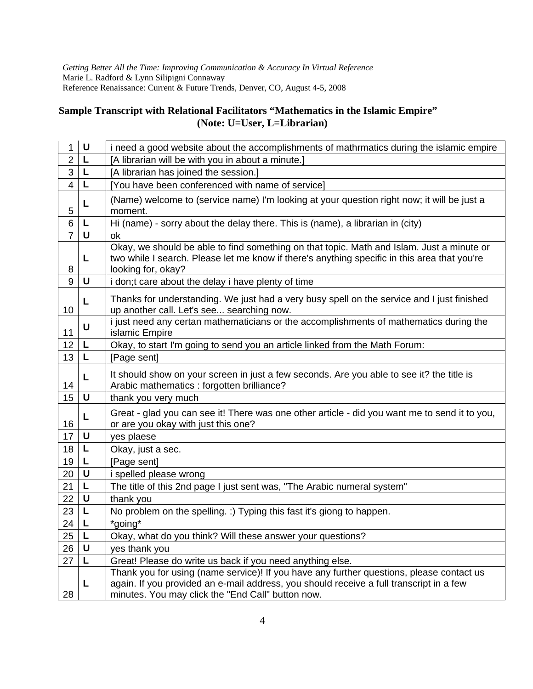# **Sample Transcript with Relational Facilitators "Mathematics in the Islamic Empire" (Note: U=User, L=Librarian)**

| 1              | U | i need a good website about the accomplishments of mathrmatics during the islamic empire                                                                                                                                                 |
|----------------|---|------------------------------------------------------------------------------------------------------------------------------------------------------------------------------------------------------------------------------------------|
| $\overline{2}$ | L | [A librarian will be with you in about a minute.]                                                                                                                                                                                        |
| 3              | L | [A librarian has joined the session.]                                                                                                                                                                                                    |
| $\overline{4}$ | L | [You have been conferenced with name of service]                                                                                                                                                                                         |
| 5              | L | (Name) welcome to (service name) I'm looking at your question right now; it will be just a<br>moment.                                                                                                                                    |
| 6              | L | Hi (name) - sorry about the delay there. This is (name), a librarian in (city)                                                                                                                                                           |
| $\overline{7}$ | U | оk                                                                                                                                                                                                                                       |
| 8              | L | Okay, we should be able to find something on that topic. Math and Islam. Just a minute or<br>two while I search. Please let me know if there's anything specific in this area that you're<br>looking for, okay?                          |
| 9              | U | i don;t care about the delay i have plenty of time                                                                                                                                                                                       |
| 10             | L | Thanks for understanding. We just had a very busy spell on the service and I just finished<br>up another call. Let's see searching now.                                                                                                  |
| 11             | U | i just need any certan mathematicians or the accomplishments of mathematics during the<br>islamic Empire                                                                                                                                 |
| 12             | L | Okay, to start I'm going to send you an article linked from the Math Forum:                                                                                                                                                              |
| 13             | L | [Page sent]                                                                                                                                                                                                                              |
| 14             | L | It should show on your screen in just a few seconds. Are you able to see it? the title is<br>Arabic mathematics : forgotten brilliance?                                                                                                  |
| 15             | U | thank you very much                                                                                                                                                                                                                      |
| 16             | L | Great - glad you can see it! There was one other article - did you want me to send it to you,<br>or are you okay with just this one?                                                                                                     |
| 17             | U | yes plaese                                                                                                                                                                                                                               |
| 18             | L | Okay, just a sec.                                                                                                                                                                                                                        |
| 19             | L | [Page sent]                                                                                                                                                                                                                              |
| 20             | U | i spelled please wrong                                                                                                                                                                                                                   |
| 21             | L | The title of this 2nd page I just sent was, "The Arabic numeral system"                                                                                                                                                                  |
| 22             | U | thank you                                                                                                                                                                                                                                |
| 23             | L | No problem on the spelling. :) Typing this fast it's giong to happen.                                                                                                                                                                    |
| 24             | L | *going*                                                                                                                                                                                                                                  |
| 25             | L | Okay, what do you think? Will these answer your questions?                                                                                                                                                                               |
| 26             | U | yes thank you                                                                                                                                                                                                                            |
| 27             | L | Great! Please do write us back if you need anything else.                                                                                                                                                                                |
| 28             | L | Thank you for using (name service)! If you have any further questions, please contact us<br>again. If you provided an e-mail address, you should receive a full transcript in a few<br>minutes. You may click the "End Call" button now. |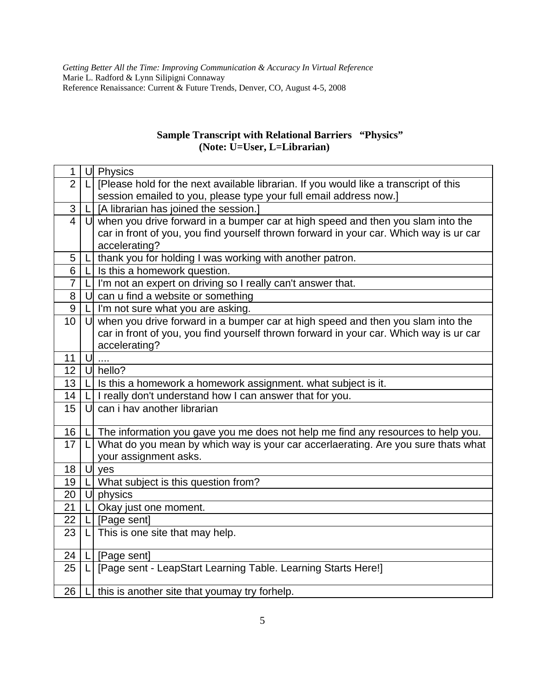# **Sample Transcript with Relational Barriers "Physics" (Note: U=User, L=Librarian)**

| 1                       |        | U Physics                                                                              |
|-------------------------|--------|----------------------------------------------------------------------------------------|
| $\overline{2}$          | LI     | [Please hold for the next available librarian. If you would like a transcript of this  |
|                         |        | session emailed to you, please type your full email address now.]                      |
| 3                       |        | $L$ [A librarian has joined the session.]                                              |
| $\overline{\mathbf{4}}$ |        | $U$ when you drive forward in a bumper car at high speed and then you slam into the    |
|                         |        | car in front of you, you find yourself thrown forward in your car. Which way is ur car |
|                         |        | accelerating?                                                                          |
| 5                       |        | thank you for holding I was working with another patron.                               |
| 6                       |        | Is this a homework question.                                                           |
| 7                       | LI     | I'm not an expert on driving so I really can't answer that.                            |
| 8                       | U      | can u find a website or something                                                      |
| 9                       |        | I'm not sure what you are asking.                                                      |
| 10                      | $\cup$ | when you drive forward in a bumper car at high speed and then you slam into the        |
|                         |        | car in front of you, you find yourself thrown forward in your car. Which way is ur car |
|                         |        | accelerating?                                                                          |
| 11                      | U      |                                                                                        |
| 12                      |        | U hello?                                                                               |
| 13                      |        | Is this a homework a homework assignment. what subject is it.                          |
| 14                      |        | I really don't understand how I can answer that for you.                               |
| 15                      | U      | can i hav another librarian                                                            |
|                         |        |                                                                                        |
| 16                      |        | The information you gave you me does not help me find any resources to help you.       |
| 17                      | LI     | What do you mean by which way is your car accerlaerating. Are you sure thats what      |
|                         |        | your assignment asks.                                                                  |
| 18                      |        | U yes                                                                                  |
| 19                      |        | What subject is this question from?                                                    |
| 20                      |        | $U$ physics                                                                            |
| 21                      |        | Okay just one moment.                                                                  |
| 22                      |        | [Page sent]                                                                            |
| 23                      | LI     | This is one site that may help.                                                        |
| 24                      | LI     | [Page sent]                                                                            |
| 25                      | L      | [Page sent - LeapStart Learning Table. Learning Starts Here!]                          |
|                         |        |                                                                                        |
| 26                      |        | this is another site that youmay try forhelp.                                          |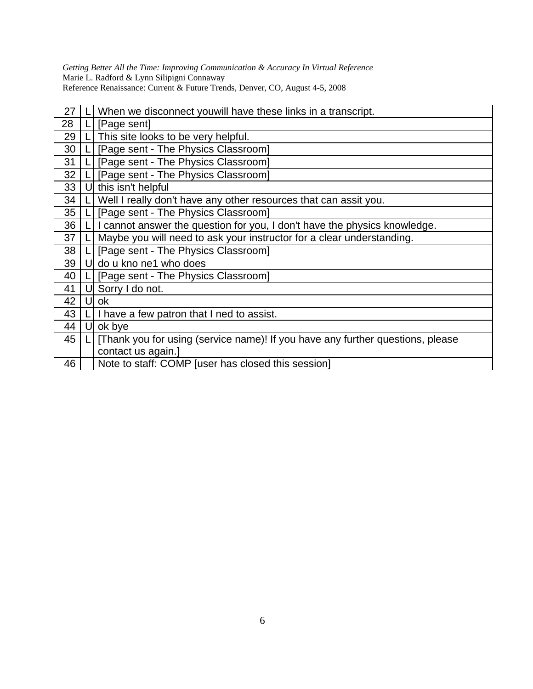| 27 |    | When we disconnect youwill have these links in a transcript.                   |
|----|----|--------------------------------------------------------------------------------|
| 28 |    | [Page sent]                                                                    |
| 29 |    | This site looks to be very helpful.                                            |
| 30 |    | [Page sent - The Physics Classroom]                                            |
| 31 |    | [Page sent - The Physics Classroom]                                            |
| 32 |    | [Page sent - The Physics Classroom]                                            |
| 33 | Ul | this isn't helpful                                                             |
| 34 |    | Well I really don't have any other resources that can assit you.               |
| 35 |    | [Page sent - The Physics Classroom]                                            |
| 36 |    | I cannot answer the question for you, I don't have the physics knowledge.      |
| 37 |    | Maybe you will need to ask your instructor for a clear understanding.          |
| 38 |    | [Page sent - The Physics Classroom]                                            |
| 39 | Ul | do u kno ne1 who does                                                          |
| 40 |    | [Page sent - The Physics Classroom]                                            |
| 41 |    | Sorry I do not.                                                                |
| 42 | U  | ok                                                                             |
| 43 |    | I have a few patron that I ned to assist.                                      |
| 44 | U  | ok bye                                                                         |
| 45 |    | [Thank you for using (service name)! If you have any further questions, please |
|    |    | contact us again.]                                                             |
| 46 |    | Note to staff: COMP [user has closed this session]                             |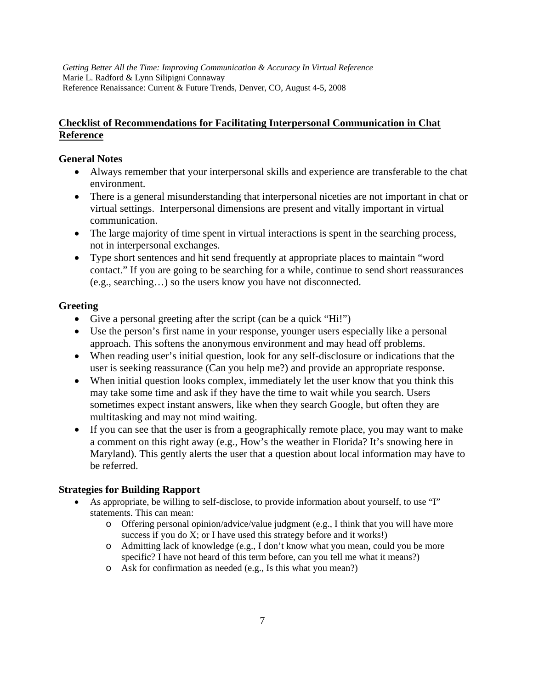# **Checklist of Recommendations for Facilitating Interpersonal Communication in Chat Reference**

# **General Notes**

- Always remember that your interpersonal skills and experience are transferable to the chat environment.
- There is a general misunderstanding that interpersonal niceties are not important in chat or virtual settings. Interpersonal dimensions are present and vitally important in virtual communication.
- The large majority of time spent in virtual interactions is spent in the searching process, not in interpersonal exchanges.
- Type short sentences and hit send frequently at appropriate places to maintain "word contact." If you are going to be searching for a while, continue to send short reassurances (e.g., searching…) so the users know you have not disconnected.

# **Greeting**

- Give a personal greeting after the script (can be a quick "Hi!")
- Use the person's first name in your response, younger users especially like a personal approach. This softens the anonymous environment and may head off problems.
- When reading user's initial question, look for any self-disclosure or indications that the user is seeking reassurance (Can you help me?) and provide an appropriate response.
- When initial question looks complex, immediately let the user know that you think this may take some time and ask if they have the time to wait while you search. Users sometimes expect instant answers, like when they search Google, but often they are multitasking and may not mind waiting.
- If you can see that the user is from a geographically remote place, you may want to make a comment on this right away (e.g., How's the weather in Florida? It's snowing here in Maryland). This gently alerts the user that a question about local information may have to be referred.

# **Strategies for Building Rapport**

- As appropriate, be willing to self-disclose, to provide information about yourself, to use "I" statements. This can mean:
	- o Offering personal opinion/advice/value judgment (e.g., I think that you will have more success if you do X; or I have used this strategy before and it works!)
	- o Admitting lack of knowledge (e.g., I don't know what you mean, could you be more specific? I have not heard of this term before, can you tell me what it means?)
	- o Ask for confirmation as needed (e.g., Is this what you mean?)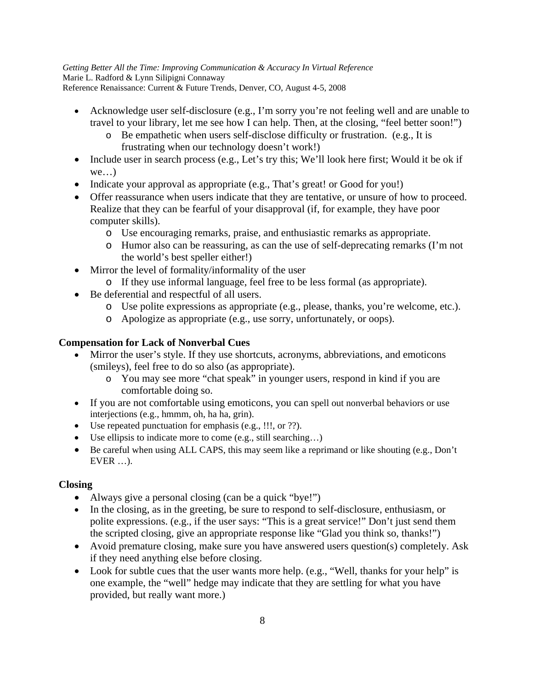- Acknowledge user self-disclosure (e.g., I'm sorry you're not feeling well and are unable to travel to your library, let me see how I can help. Then, at the closing, "feel better soon!")
	- o Be empathetic when users self-disclose difficulty or frustration. (e.g., It is frustrating when our technology doesn't work!)
- Include user in search process (e.g., Let's try this; We'll look here first; Would it be ok if  $we...$
- Indicate your approval as appropriate (e.g., That's great! or Good for you!)
- Offer reassurance when users indicate that they are tentative, or unsure of how to proceed. Realize that they can be fearful of your disapproval (if, for example, they have poor computer skills).
	- o Use encouraging remarks, praise, and enthusiastic remarks as appropriate.
	- o Humor also can be reassuring, as can the use of self-deprecating remarks (I'm not the world's best speller either!)
- Mirror the level of formality/informality of the user
	- o If they use informal language, feel free to be less formal (as appropriate).
- Be deferential and respectful of all users.
	- o Use polite expressions as appropriate (e.g., please, thanks, you're welcome, etc.).
	- o Apologize as appropriate (e.g., use sorry, unfortunately, or oops).

# **Compensation for Lack of Nonverbal Cues**

- Mirror the user's style. If they use shortcuts, acronyms, abbreviations, and emoticons (smileys), feel free to do so also (as appropriate).
	- o You may see more "chat speak" in younger users, respond in kind if you are comfortable doing so.
- If you are not comfortable using emoticons, you can spell out nonverbal behaviors or use interjections (e.g., hmmm, oh, ha ha, grin).
- Use repeated punctuation for emphasis (e.g., !!!, or ??).
- Use ellipsis to indicate more to come (e.g., still searching…)
- Be careful when using ALL CAPS, this may seem like a reprimand or like shouting (e.g., Don't EVER …).

## **Closing**

- Always give a personal closing (can be a quick "bye!")
- In the closing, as in the greeting, be sure to respond to self-disclosure, enthusiasm, or polite expressions. (e.g., if the user says: "This is a great service!" Don't just send them the scripted closing, give an appropriate response like "Glad you think so, thanks!")
- Avoid premature closing, make sure you have answered users question(s) completely. Ask if they need anything else before closing.
- Look for subtle cues that the user wants more help. (e.g., "Well, thanks for your help" is one example, the "well" hedge may indicate that they are settling for what you have provided, but really want more.)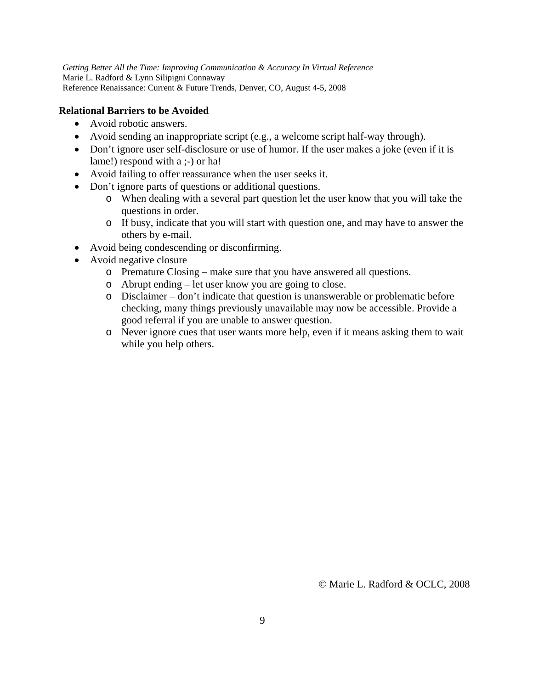# **Relational Barriers to be Avoided**

- Avoid robotic answers.
- Avoid sending an inappropriate script (e.g., a welcome script half-way through).
- Don't ignore user self-disclosure or use of humor. If the user makes a joke (even if it is lame!) respond with a ;-) or ha!
- Avoid failing to offer reassurance when the user seeks it.
- Don't ignore parts of questions or additional questions.
	- o When dealing with a several part question let the user know that you will take the questions in order.
	- o If busy, indicate that you will start with question one, and may have to answer the others by e-mail.
- Avoid being condescending or disconfirming.
- Avoid negative closure
	- o Premature Closing make sure that you have answered all questions.
	- o Abrupt ending let user know you are going to close.
	- o Disclaimer don't indicate that question is unanswerable or problematic before checking, many things previously unavailable may now be accessible. Provide a good referral if you are unable to answer question.
	- o Never ignore cues that user wants more help, even if it means asking them to wait while you help others.

© Marie L. Radford & OCLC, 2008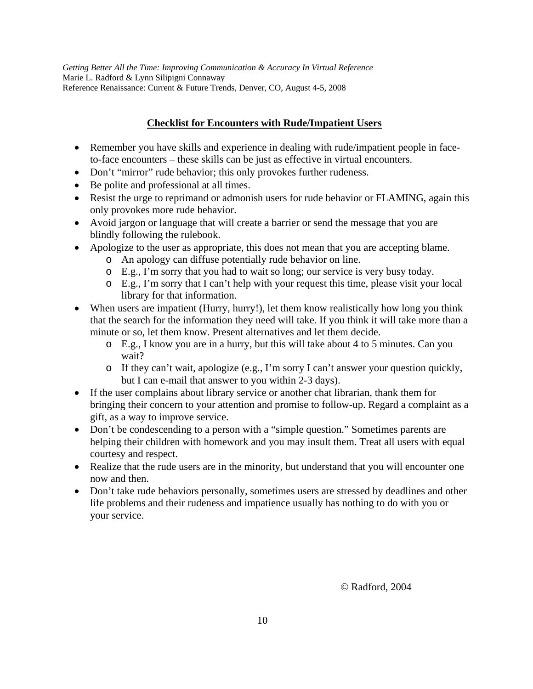# **Checklist for Encounters with Rude/Impatient Users**

- Remember you have skills and experience in dealing with rude/impatient people in faceto-face encounters – these skills can be just as effective in virtual encounters.
- Don't "mirror" rude behavior; this only provokes further rudeness.
- Be polite and professional at all times.
- Resist the urge to reprimand or admonish users for rude behavior or FLAMING, again this only provokes more rude behavior.
- Avoid jargon or language that will create a barrier or send the message that you are blindly following the rulebook.
- Apologize to the user as appropriate, this does not mean that you are accepting blame.
	- o An apology can diffuse potentially rude behavior on line.
	- o E.g., I'm sorry that you had to wait so long; our service is very busy today.
	- o E.g., I'm sorry that I can't help with your request this time, please visit your local library for that information.
- When users are impatient (Hurry, hurry!), let them know <u>realistically</u> how long you think that the search for the information they need will take. If you think it will take more than a minute or so, let them know. Present alternatives and let them decide.
	- o E.g., I know you are in a hurry, but this will take about 4 to 5 minutes. Can you wait?
	- o If they can't wait, apologize (e.g., I'm sorry I can't answer your question quickly, but I can e-mail that answer to you within 2-3 days).
- If the user complains about library service or another chat librarian, thank them for bringing their concern to your attention and promise to follow-up. Regard a complaint as a gift, as a way to improve service.
- Don't be condescending to a person with a "simple question." Sometimes parents are helping their children with homework and you may insult them. Treat all users with equal courtesy and respect.
- Realize that the rude users are in the minority, but understand that you will encounter one now and then.
- Don't take rude behaviors personally, sometimes users are stressed by deadlines and other life problems and their rudeness and impatience usually has nothing to do with you or your service.

© Radford, 2004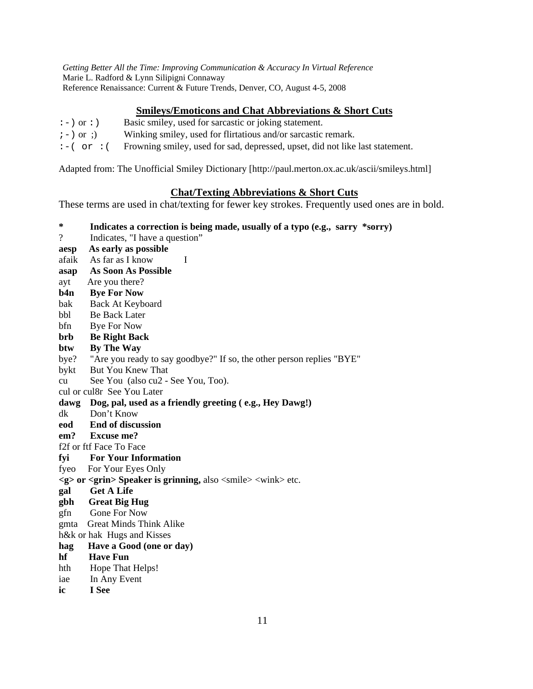# **Smileys/Emoticons and Chat Abbreviations & Short Cuts**

- :-) or :) Basic smiley, used for sarcastic or joking statement.
- $i-j$  or ;) Winking smiley, used for flirtatious and/or sarcastic remark.
- $:-(-\sigma r)(\sigma r)(\sigma r)$  Frowning smiley, used for sad, depressed, upset, did not like last statement.

Adapted from: The Unofficial Smiley Dictionary [http://paul.merton.ox.ac.uk/ascii/smileys.html]

### **Chat/Texting Abbreviations & Short Cuts**

These terms are used in chat/texting for fewer key strokes. Frequently used ones are in bold.

- **\* Indicates a correction is being made, usually of a typo (e.g., sarry \*sorry)**
- ? Indicates, "I have a question"
- **aesp As early as possible**
- afaik As far as I know I
- **asap As Soon As Possible**
- ayt Are you there?
- **b4n Bye For Now**
- bak Back At Keyboard
- bbl Be Back Later
- bfn Bye For Now

# **brb Be Right Back**

### **btw By The Way**

- bye? "Are you ready to say goodbye?" If so, the other person replies "BYE"
- bykt But You Knew That
- cu See You (also cu2 See You, Too).
- cul or cul8r See You Later

## **dawg Dog, pal, used as a friendly greeting ( e.g., Hey Dawg!)**

- dk Don't Know
- **eod End of discussion**
- **em? Excuse me?**
- f2f or ftf Face To Face
- **fyi For Your Information**
- fyeo For Your Eyes Only
- **<g> or <grin> Speaker is grinning,** also <smile> <wink> etc.
- **gal Get A Life**
- **gbh Great Big Hug**
- gfn Gone For Now
- gmta Great Minds Think Alike
- h&k or hak Hugs and Kisses

### **hag Have a Good (one or day)**

- **hf Have Fun**
- hth Hope That Helps!
- iae In Any Event
- **ic I See**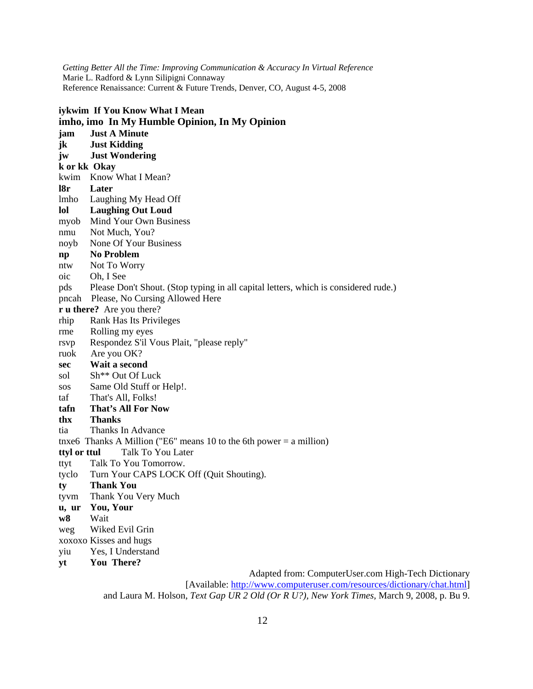| iykwim If You Know What I Mean |                                                                                     |  |  |  |  |
|--------------------------------|-------------------------------------------------------------------------------------|--|--|--|--|
|                                | imho, imo In My Humble Opinion, In My Opinion                                       |  |  |  |  |
| jam                            | <b>Just A Minute</b>                                                                |  |  |  |  |
| jk                             | <b>Just Kidding</b>                                                                 |  |  |  |  |
| jw                             | <b>Just Wondering</b>                                                               |  |  |  |  |
| k or kk Okay                   |                                                                                     |  |  |  |  |
|                                | kwim Know What I Mean?                                                              |  |  |  |  |
| 18r                            | Later                                                                               |  |  |  |  |
|                                | lmho Laughing My Head Off                                                           |  |  |  |  |
| lol                            | <b>Laughing Out Loud</b>                                                            |  |  |  |  |
|                                | myob Mind Your Own Business                                                         |  |  |  |  |
| nmu                            | Not Much, You?                                                                      |  |  |  |  |
| noyb                           | None Of Your Business                                                               |  |  |  |  |
| $\mathbf{np}$                  | <b>No Problem</b>                                                                   |  |  |  |  |
| ntw                            | Not To Worry                                                                        |  |  |  |  |
| $_{\rm oic}$                   | Oh, I See                                                                           |  |  |  |  |
| pds                            | Please Don't Shout. (Stop typing in all capital letters, which is considered rude.) |  |  |  |  |
|                                | pncah Please, No Cursing Allowed Here                                               |  |  |  |  |
|                                | <b>r u</b> there? Are you there?                                                    |  |  |  |  |
| rhip                           | Rank Has Its Privileges                                                             |  |  |  |  |
| rme                            | Rolling my eyes                                                                     |  |  |  |  |
| rsvp                           | Respondez S'il Vous Plait, "please reply"                                           |  |  |  |  |
| ruok                           | Are you OK?                                                                         |  |  |  |  |
| sec                            | Wait a second                                                                       |  |  |  |  |
| sol                            | Sh** Out Of Luck                                                                    |  |  |  |  |
| SOS                            | Same Old Stuff or Help!.                                                            |  |  |  |  |
| taf                            | That's All, Folks!                                                                  |  |  |  |  |
| tafn                           | <b>That's All For Now</b>                                                           |  |  |  |  |
| thx                            | <b>Thanks</b>                                                                       |  |  |  |  |
| tia                            | Thanks In Advance                                                                   |  |  |  |  |
|                                | tnxe6 Thanks A Million ("E6" means 10 to the 6th power = a million)                 |  |  |  |  |
| ttyl or ttul                   | Talk To You Later                                                                   |  |  |  |  |
| ttyt                           | Talk To You Tomorrow.                                                               |  |  |  |  |
| tyclo                          | Turn Your CAPS LOCK Off (Quit Shouting).                                            |  |  |  |  |
| ty                             | <b>Thank You</b>                                                                    |  |  |  |  |
| tyvm                           | Thank You Very Much                                                                 |  |  |  |  |
| u, ur                          | You, Your                                                                           |  |  |  |  |
| W8                             | Wait                                                                                |  |  |  |  |
| weg                            | Wiked Evil Grin                                                                     |  |  |  |  |
| xoxoxo Kisses and hugs         |                                                                                     |  |  |  |  |
| yiu                            | Yes, I Understand                                                                   |  |  |  |  |
| yt                             | You There?                                                                          |  |  |  |  |

Adapted from: ComputerUser.com High-Tech Dictionary [Available: <http://www.computeruser.com/resources/dictionary/chat.html>] and Laura M. Holson, *Text Gap UR 2 Old (Or R U?), New York Times,* March 9, 2008, p. Bu 9.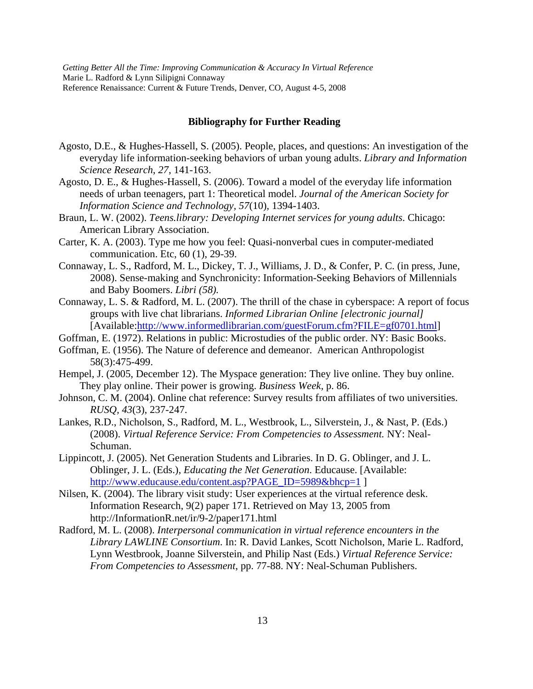### **Bibliography for Further Reading**

- Agosto, D.E., & Hughes-Hassell, S. (2005). People, places, and questions: An investigation of the everyday life information-seeking behaviors of urban young adults. *Library and Information Science Research*, *27*, 141-163.
- Agosto, D. E., & Hughes-Hassell, S. (2006). Toward a model of the everyday life information needs of urban teenagers, part 1: Theoretical model. *Journal of the American Society for Information Science and Technology, 57*(10), 1394-1403.
- Braun, L. W. (2002). *Teens.library: Developing Internet services for young adults*. Chicago: American Library Association.
- Carter, K. A. (2003). Type me how you feel: Quasi-nonverbal cues in computer-mediated communication. Etc, 60 (1), 29-39.
- Connaway, L. S., Radford, M. L., Dickey, T. J., Williams, J. D., & Confer, P. C. (in press, June, 2008). Sense-making and Synchronicity: Information-Seeking Behaviors of Millennials and Baby Boomers. *Libri (58).*
- Connaway, L. S. & Radford, M. L. (2007). The thrill of the chase in cyberspace: A report of focus groups with live chat librarians. *Informed Librarian Online [electronic journal]*  [Available:<http://www.informedlibrarian.com/guestForum.cfm?FILE=gf0701.html>]
- Goffman, E. (1972). Relations in public: Microstudies of the public order. NY: Basic Books.
- Goffman, E. (1956). The Nature of deference and demeanor. American Anthropologist 58(3):475-499.
- Hempel, J. (2005, December 12). The Myspace generation: They live online. They buy online. They play online. Their power is growing. *Business Week,* p. 86.
- Johnson, C. M. (2004). Online chat reference: Survey results from affiliates of two universities. *RUSQ, 43*(3), 237-247.
- Lankes, R.D., Nicholson, S., Radford, M. L., Westbrook, L., Silverstein, J., & Nast, P. (Eds.) (2008). *Virtual Reference Service: From Competencies to Assessment.* NY: Neal-Schuman.
- Lippincott, J. (2005). Net Generation Students and Libraries. In D. G. Oblinger, and J. L. Oblinger, J. L. (Eds.), *Educating the Net Generation*. Educause. [Available: [http://www.educause.edu/content.asp?PAGE\\_ID=5989&bhcp=1](http://www.educause.edu/content.asp?PAGE_ID=5989&bhcp=1) ]
- Nilsen, K. (2004). The library visit study: User experiences at the virtual reference desk. Information Research, 9(2) paper 171. Retrieved on May 13, 2005 from http://InformationR.net/ir/9-2/paper171.html
- Radford, M. L. (2008). *Interpersonal communication in virtual reference encounters in the Library LAWLINE Consortium*. In: R. David Lankes, Scott Nicholson, Marie L. Radford, Lynn Westbrook, Joanne Silverstein, and Philip Nast (Eds.) *Virtual Reference Service: From Competencies to Assessment*, pp. 77-88. NY: Neal-Schuman Publishers.